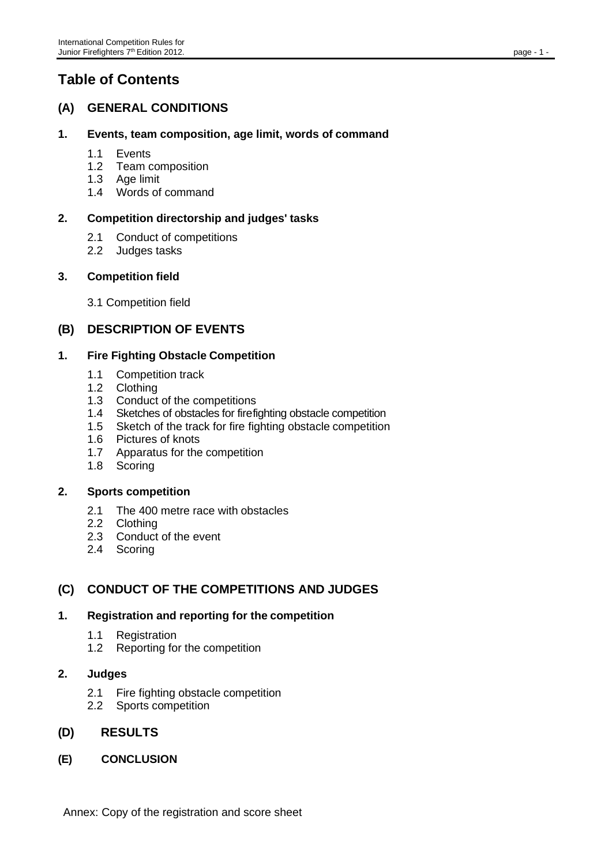# **Table of Contents**

## **(A) GENERAL CONDITIONS**

## **1. Events, team composition, age limit, words of command**

- 1.1 Events
- 1.2 Team composition
- 1.3 Age limit
- 1.4 Words of command

## **2. Competition directorship and judges' tasks**

- 2.1 Conduct of competitions
- 2.2 Judges tasks

## **3. Competition field**

3.1 Competition field

## **(B) DESCRIPTION OF EVENTS**

## **1. Fire Fighting Obstacle Competition**

- 1.1 Competition track
- 1.2 Clothing
- 1.3 Conduct of the competitions
- 1.4 Sketches of obstacles for firefighting obstacle competition<br>1.5 Sketch of the track for fire fighting obstacle competition
- Sketch of the track for fire fighting obstacle competition
- 1.6 Pictures of knots
- 1.7 Apparatus for the competition
- 1.8 Scoring

#### **2. Sports competition**

- 2.1 The 400 metre race with obstacles
- 2.2 Clothing
- 2.3 Conduct of the event
- 2.4 Scoring

## **(C) CONDUCT OF THE COMPETITIONS AND JUDGES**

## **1. Registration and reporting for the competition**

- 1.1 Registration
- 1.2 Reporting for the competition

## **2. Judges**

- 2.1 Fire fighting obstacle competition
- 2.2 Sports competition

## **(D) RESULTS**

**(E) CONCLUSION**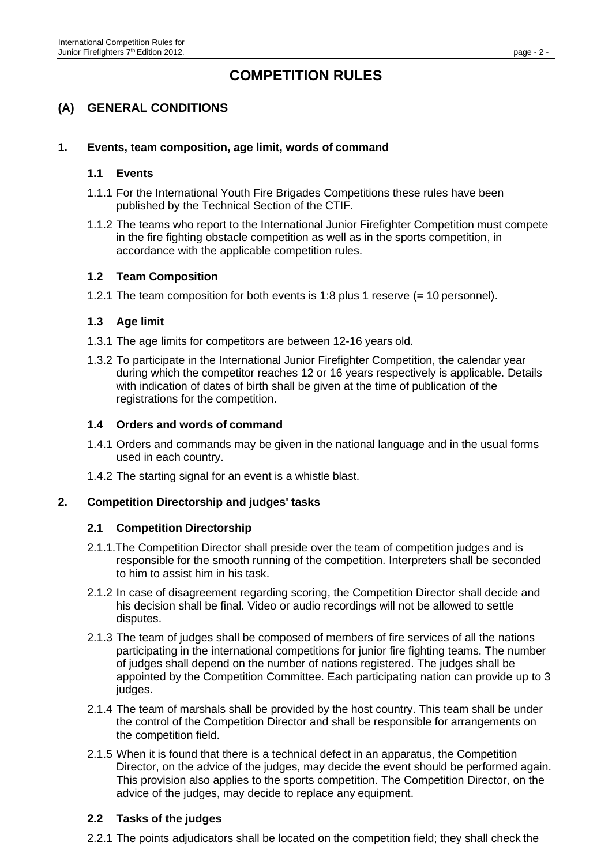## **COMPETITION RULES**

## **(A) GENERAL CONDITIONS**

## **1. Events, team composition, age limit, words of command**

#### **1.1 Events**

- 1.1.1 For the International Youth Fire Brigades Competitions these rules have been published by the Technical Section of the CTIF.
- 1.1.2 The teams who report to the International Junior Firefighter Competition must compete in the fire fighting obstacle competition as well as in the sports competition, in accordance with the applicable competition rules.

#### **1.2 Team Composition**

1.2.1 The team composition for both events is 1:8 plus 1 reserve (= 10 personnel).

#### **1.3 Age limit**

- 1.3.1 The age limits for competitors are between 12-16 years old.
- 1.3.2 To participate in the International Junior Firefighter Competition, the calendar year during which the competitor reaches 12 or 16 years respectively is applicable. Details with indication of dates of birth shall be given at the time of publication of the registrations for the competition.

#### **1.4 Orders and words of command**

- 1.4.1 Orders and commands may be given in the national language and in the usual forms used in each country.
- 1.4.2 The starting signal for an event is a whistle blast.

#### **2. Competition Directorship and judges' tasks**

#### **2.1 Competition Directorship**

- 2.1.1.The Competition Director shall preside over the team of competition judges and is responsible for the smooth running of the competition. Interpreters shall be seconded to him to assist him in his task.
- 2.1.2 In case of disagreement regarding scoring, the Competition Director shall decide and his decision shall be final. Video or audio recordings will not be allowed to settle disputes.
- 2.1.3 The team of judges shall be composed of members of fire services of all the nations participating in the international competitions for junior fire fighting teams. The number of judges shall depend on the number of nations registered. The judges shall be appointed by the Competition Committee. Each participating nation can provide up to 3 judges.
- 2.1.4 The team of marshals shall be provided by the host country. This team shall be under the control of the Competition Director and shall be responsible for arrangements on the competition field.
- 2.1.5 When it is found that there is a technical defect in an apparatus, the Competition Director, on the advice of the judges, may decide the event should be performed again. This provision also applies to the sports competition. The Competition Director, on the advice of the judges, may decide to replace any equipment.

#### **2.2 Tasks of the judges**

2.2.1 The points adjudicators shall be located on the competition field; they shall check the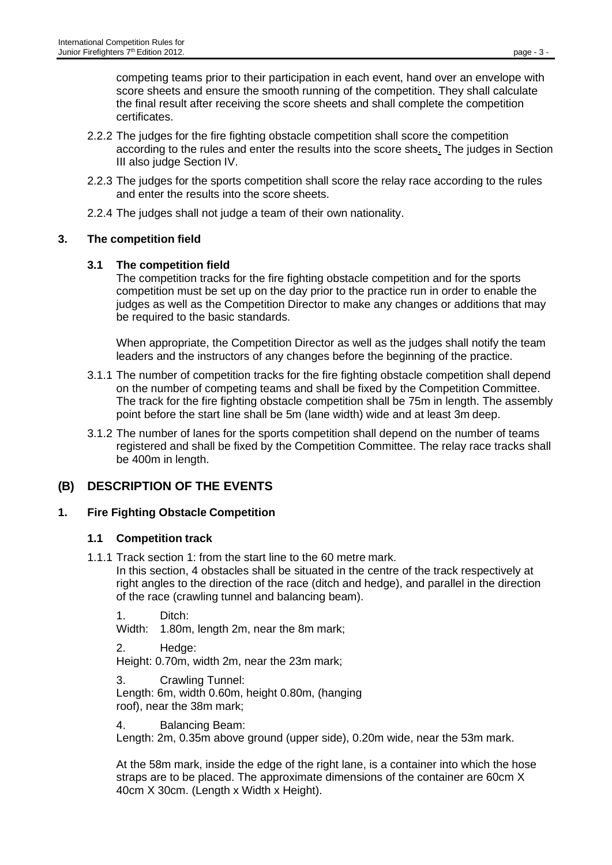competing teams prior to their participation in each event, hand over an envelope with score sheets and ensure the smooth running of the competition. They shall calculate the final result after receiving the score sheets and shall complete the competition certificates.

- 2.2.2 The judges for the fire fighting obstacle competition shall score the competition according to the rules and enter the results into the score sheets. The judges in Section III also judge Section IV.
- 2.2.3 The judges for the sports competition shall score the relay race according to the rules and enter the results into the score sheets.
- 2.2.4 The judges shall not judge a team of their own nationality.

## **3. The competition field**

## **3.1 The competition field**

The competition tracks for the fire fighting obstacle competition and for the sports competition must be set up on the day prior to the practice run in order to enable the judges as well as the Competition Director to make any changes or additions that may be required to the basic standards.

When appropriate, the Competition Director as well as the judges shall notify the team leaders and the instructors of any changes before the beginning of the practice.

- 3.1.1 The number of competition tracks for the fire fighting obstacle competition shall depend on the number of competing teams and shall be fixed by the Competition Committee. The track for the fire fighting obstacle competition shall be 75m in length. The assembly point before the start line shall be 5m (lane width) wide and at least 3m deep.
- 3.1.2 The number of lanes for the sports competition shall depend on the number of teams registered and shall be fixed by the Competition Committee. The relay race tracks shall be 400m in length.

## **(B) DESCRIPTION OF THE EVENTS**

## **1. Fire Fighting Obstacle Competition**

#### **1.1 Competition track**

1.1.1 Track section 1: from the start line to the 60 metre mark.

In this section, 4 obstacles shall be situated in the centre of the track respectively at right angles to the direction of the race (ditch and hedge), and parallel in the direction of the race (crawling tunnel and balancing beam).

1. Ditch:

Width: 1.80m, length 2m, near the 8m mark;

2. Hedge:

Height: 0.70m, width 2m, near the 23m mark;

3. Crawling Tunnel: Length: 6m, width 0.60m, height 0.80m, (hanging roof), near the 38m mark;

4. Balancing Beam:

Length: 2m, 0.35m above ground (upper side), 0.20m wide, near the 53m mark.

At the 58m mark, inside the edge of the right lane, is a container into which the hose straps are to be placed. The approximate dimensions of the container are 60cm X 40cm X 30cm. (Length x Width x Height).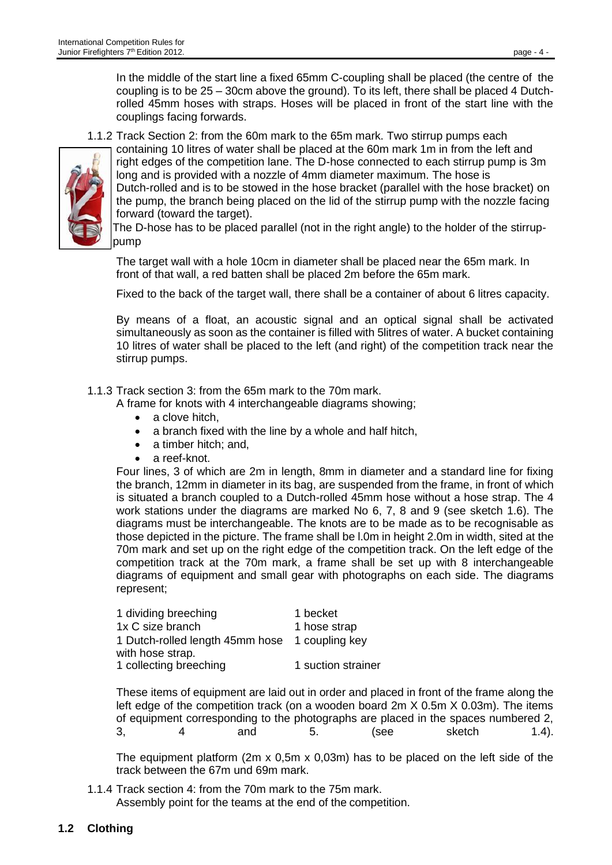In the middle of the start line a fixed 65mm C-coupling shall be placed (the centre of the coupling is to be 25 – 30cm above the ground). To its left, there shall be placed 4 Dutchrolled 45mm hoses with straps. Hoses will be placed in front of the start line with the couplings facing forwards.

1.1.2 Track Section 2: from the 60m mark to the 65m mark. Two stirrup pumps each containing 10 litres of water shall be placed at the 60m mark 1m in from the left and



right edges of the competition lane. The D-hose connected to each stirrup pump is 3m long and is provided with a nozzle of 4mm diameter maximum. The hose is Dutch-rolled and is to be stowed in the hose bracket (parallel with the hose bracket) on the pump, the branch being placed on the lid of the stirrup pump with the nozzle facing forward (toward the target).

The D-hose has to be placed parallel (not in the right angle) to the holder of the stirruppump

The target wall with a hole 10cm in diameter shall be placed near the 65m mark. In front of that wall, a red batten shall be placed 2m before the 65m mark.

Fixed to the back of the target wall, there shall be a container of about 6 litres capacity.

By means of a float, an acoustic signal and an optical signal shall be activated simultaneously as soon as the container is filled with 5litres of water. A bucket containing 10 litres of water shall be placed to the left (and right) of the competition track near the stirrup pumps.

1.1.3 Track section 3: from the 65m mark to the 70m mark.

A frame for knots with 4 interchangeable diagrams showing;

- a clove hitch.
- a branch fixed with the line by a whole and half hitch,
- a timber hitch; and,
- a reef-knot.

Four lines, 3 of which are 2m in length, 8mm in diameter and a standard line for fixing the branch, 12mm in diameter in its bag, are suspended from the frame, in front of which is situated a branch coupled to a Dutch-rolled 45mm hose without a hose strap. The 4 work stations under the diagrams are marked No 6, 7, 8 and 9 (see sketch 1.6). The diagrams must be interchangeable. The knots are to be made as to be recognisable as those depicted in the picture. The frame shall be l.0m in height 2.0m in width, sited at the 70m mark and set up on the right edge of the competition track. On the left edge of the competition track at the 70m mark, a frame shall be set up with 8 interchangeable diagrams of equipment and small gear with photographs on each side. The diagrams represent;

| 1 dividing breeching                           | 1 becket           |
|------------------------------------------------|--------------------|
| 1x C size branch                               | 1 hose strap       |
| 1 Dutch-rolled length 45mm hose 1 coupling key |                    |
| with hose strap.                               |                    |
| 1 collecting breeching                         | 1 suction strainer |

These items of equipment are laid out in order and placed in front of the frame along the left edge of the competition track (on a wooden board 2m X 0.5m X 0.03m). The items of equipment corresponding to the photographs are placed in the spaces numbered 2, 3, 4 and 5. (see sketch 1.4).

The equipment platform (2m x 0,5m x 0,03m) has to be placed on the left side of the track between the 67m und 69m mark.

1.1.4 Track section 4: from the 70m mark to the 75m mark. Assembly point for the teams at the end of the competition.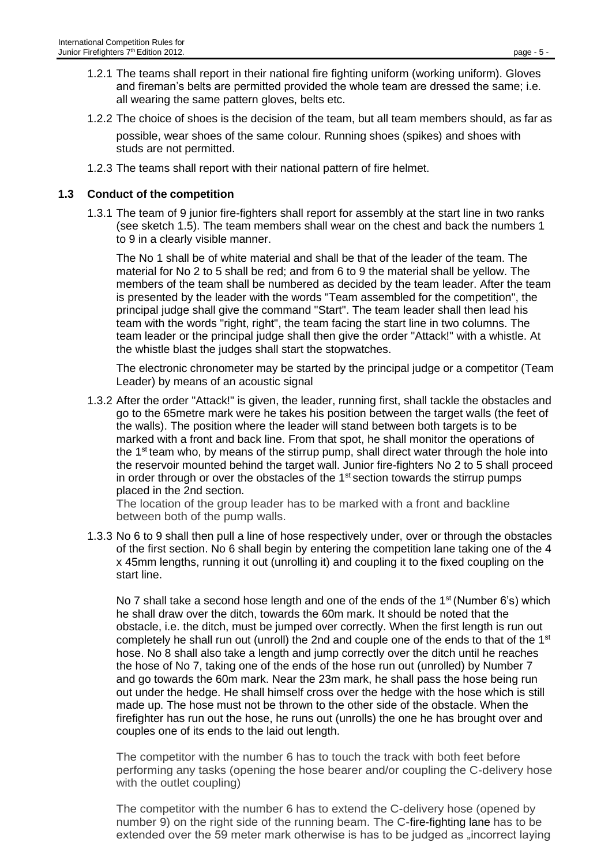- 1.2.1 The teams shall report in their national fire fighting uniform (working uniform). Gloves and fireman's belts are permitted provided the whole team are dressed the same; i.e. all wearing the same pattern gloves, belts etc.
- 1.2.2 The choice of shoes is the decision of the team, but all team members should, as far as

possible, wear shoes of the same colour. Running shoes (spikes) and shoes with studs are not permitted.

1.2.3 The teams shall report with their national pattern of fire helmet.

#### **1.3 Conduct of the competition**

1.3.1 The team of 9 junior fire-fighters shall report for assembly at the start line in two ranks (see sketch 1.5). The team members shall wear on the chest and back the numbers 1 to 9 in a clearly visible manner.

The No 1 shall be of white material and shall be that of the leader of the team. The material for No 2 to 5 shall be red; and from 6 to 9 the material shall be yellow. The members of the team shall be numbered as decided by the team leader. After the team is presented by the leader with the words "Team assembled for the competition", the principal judge shall give the command "Start". The team leader shall then lead his team with the words "right, right", the team facing the start line in two columns. The team leader or the principal judge shall then give the order "Attack!" with a whistle. At the whistle blast the judges shall start the stopwatches.

The electronic chronometer may be started by the principal judge or a competitor (Team Leader) by means of an acoustic signal

1.3.2 After the order "Attack!" is given, the leader, running first, shall tackle the obstacles and go to the 65metre mark were he takes his position between the target walls (the feet of the walls). The position where the leader will stand between both targets is to be marked with a front and back line. From that spot, he shall monitor the operations of the  $1<sup>st</sup>$  team who, by means of the stirrup pump, shall direct water through the hole into the reservoir mounted behind the target wall. Junior fire-fighters No 2 to 5 shall proceed in order through or over the obstacles of the  $1<sup>st</sup>$  section towards the stirrup pumps placed in the 2nd section.

The location of the group leader has to be marked with a front and backline between both of the pump walls.

1.3.3 No 6 to 9 shall then pull a line of hose respectively under, over or through the obstacles of the first section. No 6 shall begin by entering the competition lane taking one of the 4 x 45mm lengths, running it out (unrolling it) and coupling it to the fixed coupling on the start line.

No 7 shall take a second hose length and one of the ends of the  $1<sup>st</sup>$  (Number 6's) which he shall draw over the ditch, towards the 60m mark. It should be noted that the obstacle, i.e. the ditch, must be jumped over correctly. When the first length is run out completely he shall run out (unroll) the 2nd and couple one of the ends to that of the  $1<sup>st</sup>$ hose. No 8 shall also take a length and jump correctly over the ditch until he reaches the hose of No 7, taking one of the ends of the hose run out (unrolled) by Number 7 and go towards the 60m mark. Near the 23m mark, he shall pass the hose being run out under the hedge. He shall himself cross over the hedge with the hose which is still made up. The hose must not be thrown to the other side of the obstacle. When the firefighter has run out the hose, he runs out (unrolls) the one he has brought over and couples one of its ends to the laid out length.

The competitor with the number 6 has to touch the track with both feet before performing any tasks (opening the hose bearer and/or coupling the C-delivery hose with the outlet coupling)

The competitor with the number 6 has to extend the C-delivery hose (opened by number 9) on the right side of the running beam. The C-fire-fighting lane has to be extended over the 59 meter mark otherwise is has to be judged as "incorrect laying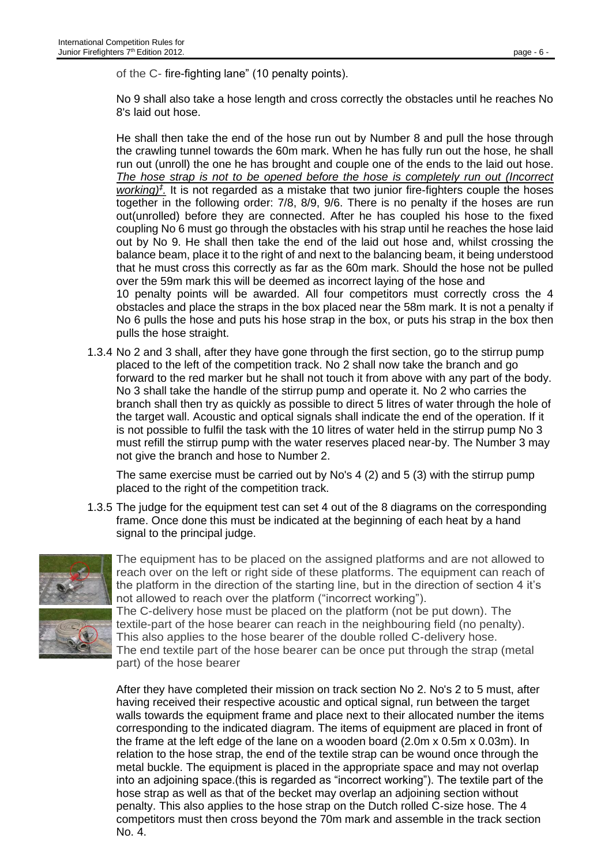of the C- fire-fighting lane" (10 penalty points).

No 9 shall also take a hose length and cross correctly the obstacles until he reaches No 8's laid out hose.

He shall then take the end of the hose run out by Number 8 and pull the hose through the crawling tunnel towards the 60m mark. When he has fully run out the hose, he shall run out (unroll) the one he has brought and couple one of the ends to the laid out hose. *The hose strap is not to be opened before the hose is completely run out (Incorrect working)‡ .* It is not regarded as a mistake that two junior fire-fighters couple the hoses together in the following order: 7/8, 8/9, 9/6. There is no penalty if the hoses are run out(unrolled) before they are connected. After he has coupled his hose to the fixed coupling No 6 must go through the obstacles with his strap until he reaches the hose laid out by No 9. He shall then take the end of the laid out hose and, whilst crossing the balance beam, place it to the right of and next to the balancing beam, it being understood that he must cross this correctly as far as the 60m mark. Should the hose not be pulled over the 59m mark this will be deemed as incorrect laying of the hose and 10 penalty points will be awarded. All four competitors must correctly cross the 4 obstacles and place the straps in the box placed near the 58m mark. It is not a penalty if No 6 pulls the hose and puts his hose strap in the box, or puts his strap in the box then pulls the hose straight.

1.3.4 No 2 and 3 shall, after they have gone through the first section, go to the stirrup pump placed to the left of the competition track. No 2 shall now take the branch and go forward to the red marker but he shall not touch it from above with any part of the body. No 3 shall take the handle of the stirrup pump and operate it. No 2 who carries the branch shall then try as quickly as possible to direct 5 litres of water through the hole of the target wall. Acoustic and optical signals shall indicate the end of the operation. If it is not possible to fulfil the task with the 10 litres of water held in the stirrup pump No 3 must refill the stirrup pump with the water reserves placed near-by. The Number 3 may not give the branch and hose to Number 2.

The same exercise must be carried out by No's 4 (2) and 5 (3) with the stirrup pump placed to the right of the competition track.

1.3.5 The judge for the equipment test can set 4 out of the 8 diagrams on the corresponding frame. Once done this must be indicated at the beginning of each heat by a hand signal to the principal judge.



The equipment has to be placed on the assigned platforms and are not allowed to reach over on the left or right side of these platforms. The equipment can reach of the platform in the direction of the starting line, but in the direction of section 4 it's not allowed to reach over the platform ("incorrect working").

The C-delivery hose must be placed on the platform (not be put down). The textile-part of the hose bearer can reach in the neighbouring field (no penalty). This also applies to the hose bearer of the double rolled C-delivery hose. The end textile part of the hose bearer can be once put through the strap (metal part) of the hose bearer

After they have completed their mission on track section No 2. No's 2 to 5 must, after having received their respective acoustic and optical signal, run between the target walls towards the equipment frame and place next to their allocated number the items corresponding to the indicated diagram. The items of equipment are placed in front of the frame at the left edge of the lane on a wooden board (2.0m x 0.5m x 0.03m). In relation to the hose strap, the end of the textile strap can be wound once through the metal buckle. The equipment is placed in the appropriate space and may not overlap into an adjoining space.(this is regarded as "incorrect working"). The textile part of the hose strap as well as that of the becket may overlap an adjoining section without penalty. This also applies to the hose strap on the Dutch rolled C-size hose. The 4 competitors must then cross beyond the 70m mark and assemble in the track section No. 4.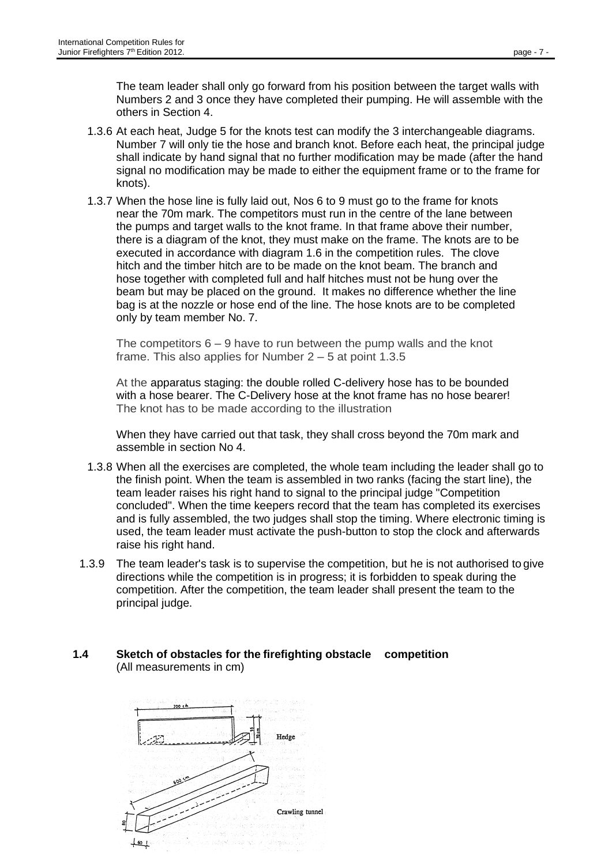The team leader shall only go forward from his position between the target walls with Numbers 2 and 3 once they have completed their pumping. He will assemble with the others in Section 4.

- 1.3.6 At each heat, Judge 5 for the knots test can modify the 3 interchangeable diagrams. Number 7 will only tie the hose and branch knot. Before each heat, the principal judge shall indicate by hand signal that no further modification may be made (after the hand signal no modification may be made to either the equipment frame or to the frame for knots).
- 1.3.7 When the hose line is fully laid out, Nos 6 to 9 must go to the frame for knots near the 70m mark. The competitors must run in the centre of the lane between the pumps and target walls to the knot frame. In that frame above their number, there is a diagram of the knot, they must make on the frame. The knots are to be executed in accordance with diagram 1.6 in the competition rules. The clove hitch and the timber hitch are to be made on the knot beam. The branch and hose together with completed full and half hitches must not be hung over the beam but may be placed on the ground. It makes no difference whether the line bag is at the nozzle or hose end of the line. The hose knots are to be completed only by team member No. 7.

The competitors  $6 - 9$  have to run between the pump walls and the knot frame. This also applies for Number 2 – 5 at point 1.3.5

At the apparatus staging: the double rolled C-delivery hose has to be bounded with a hose bearer. The C-Delivery hose at the knot frame has no hose bearer! The knot has to be made according to the illustration

When they have carried out that task, they shall cross beyond the 70m mark and assemble in section No 4.

- 1.3.8 When all the exercises are completed, the whole team including the leader shall go to the finish point. When the team is assembled in two ranks (facing the start line), the team leader raises his right hand to signal to the principal judge "Competition concluded". When the time keepers record that the team has completed its exercises and is fully assembled, the two judges shall stop the timing. Where electronic timing is used, the team leader must activate the push-button to stop the clock and afterwards raise his right hand.
- 1.3.9 The team leader's task is to supervise the competition, but he is not authorised to give directions while the competition is in progress; it is forbidden to speak during the competition. After the competition, the team leader shall present the team to the principal judge.

#### **1.4 Sketch of obstacles for the firefighting obstacle competition** (All measurements in cm)

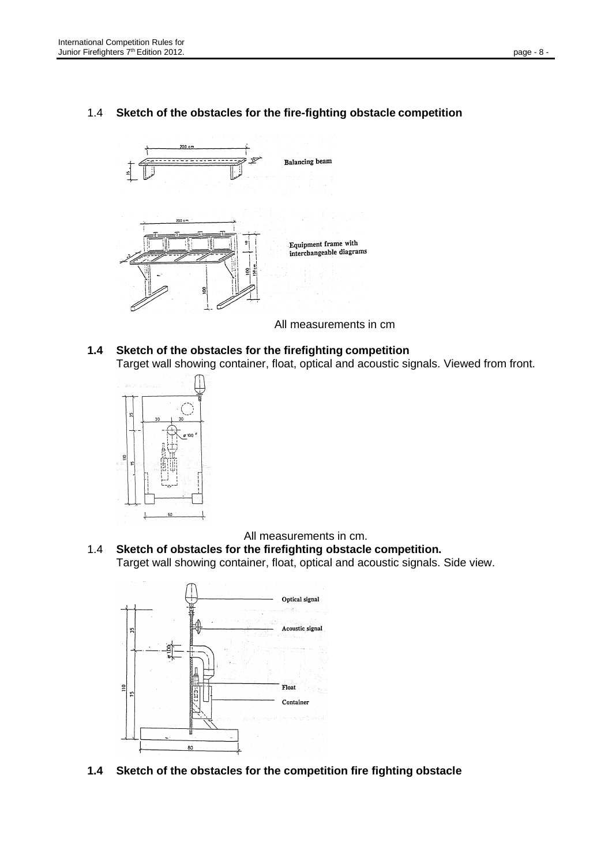## 1.4 **Sketch of the obstacles for the fire-fighting obstacle competition**



All measurements in cm

**1.4 Sketch of the obstacles for the firefighting competition** Target wall showing container, float, optical and acoustic signals. Viewed from front.



All measurements in cm.

1.4 **Sketch of obstacles for the firefighting obstacle competition.** Target wall showing container, float, optical and acoustic signals. Side view.



**1.4 Sketch of the obstacles for the competition fire fighting obstacle**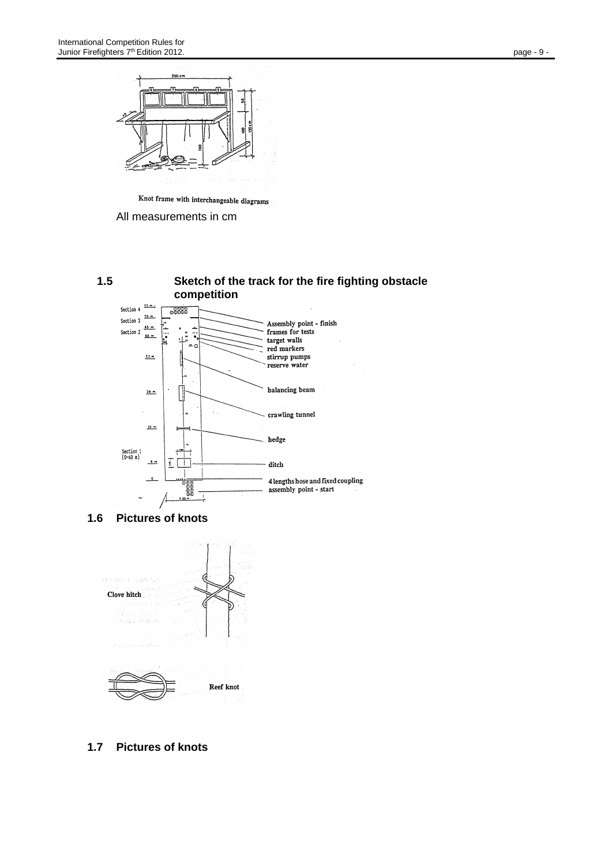



All measurements in cm



**1.6 Pictures of knots**



**1.7 Pictures of knots**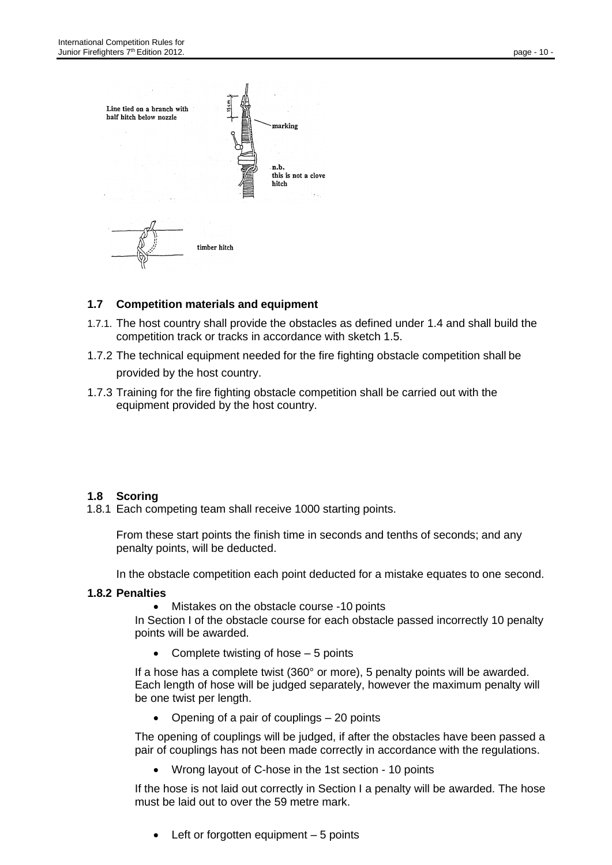

## **1.7 Competition materials and equipment**

- 1.7.1. The host country shall provide the obstacles as defined under 1.4 and shall build the competition track or tracks in accordance with sketch 1.5.
- 1.7.2 The technical equipment needed for the fire fighting obstacle competition shall be

provided by the host country.

1.7.3 Training for the fire fighting obstacle competition shall be carried out with the equipment provided by the host country.

#### **1.8 Scoring**

1.8.1 Each competing team shall receive 1000 starting points.

From these start points the finish time in seconds and tenths of seconds; and any penalty points, will be deducted.

In the obstacle competition each point deducted for a mistake equates to one second.

#### **1.8.2 Penalties**

• Mistakes on the obstacle course -10 points

In Section I of the obstacle course for each obstacle passed incorrectly 10 penalty points will be awarded.

Complete twisting of hose  $-5$  points

If a hose has a complete twist (360° or more), 5 penalty points will be awarded. Each length of hose will be judged separately, however the maximum penalty will be one twist per length.

• Opening of a pair of couplings – 20 points

The opening of couplings will be judged, if after the obstacles have been passed a pair of couplings has not been made correctly in accordance with the regulations.

• Wrong layout of C-hose in the 1st section - 10 points

If the hose is not laid out correctly in Section I a penalty will be awarded. The hose must be laid out to over the 59 metre mark.

• Left or forgotten equipment – 5 points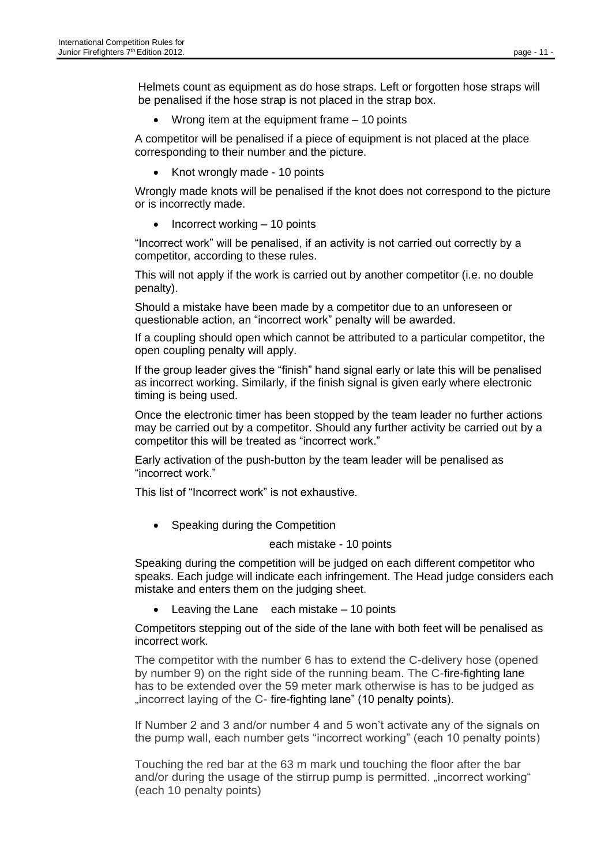Helmets count as equipment as do hose straps. Left or forgotten hose straps will be penalised if the hose strap is not placed in the strap box.

Wrong item at the equipment frame  $-10$  points

A competitor will be penalised if a piece of equipment is not placed at the place corresponding to their number and the picture.

• Knot wrongly made - 10 points

Wrongly made knots will be penalised if the knot does not correspond to the picture or is incorrectly made.

• Incorrect working – 10 points

"Incorrect work" will be penalised, if an activity is not carried out correctly by a competitor, according to these rules.

This will not apply if the work is carried out by another competitor (i.e. no double penalty).

Should a mistake have been made by a competitor due to an unforeseen or questionable action, an "incorrect work" penalty will be awarded.

If a coupling should open which cannot be attributed to a particular competitor, the open coupling penalty will apply.

If the group leader gives the "finish" hand signal early or late this will be penalised as incorrect working. Similarly, if the finish signal is given early where electronic timing is being used.

Once the electronic timer has been stopped by the team leader no further actions may be carried out by a competitor. Should any further activity be carried out by a competitor this will be treated as "incorrect work."

Early activation of the push-button by the team leader will be penalised as "incorrect work."

This list of "Incorrect work" is not exhaustive.

• Speaking during the Competition

#### each mistake - 10 points

Speaking during the competition will be judged on each different competitor who speaks. Each judge will indicate each infringement. The Head judge considers each mistake and enters them on the judging sheet.

Leaving the Lane each mistake  $-10$  points

Competitors stepping out of the side of the lane with both feet will be penalised as incorrect work.

The competitor with the number 6 has to extend the C-delivery hose (opened by number 9) on the right side of the running beam. The C-fire-fighting lane has to be extended over the 59 meter mark otherwise is has to be judged as "incorrect laying of the C- fire-fighting lane" (10 penalty points).

If Number 2 and 3 and/or number 4 and 5 won't activate any of the signals on the pump wall, each number gets "incorrect working" (each 10 penalty points)

Touching the red bar at the 63 m mark und touching the floor after the bar and/or during the usage of the stirrup pump is permitted. "incorrect working" (each 10 penalty points)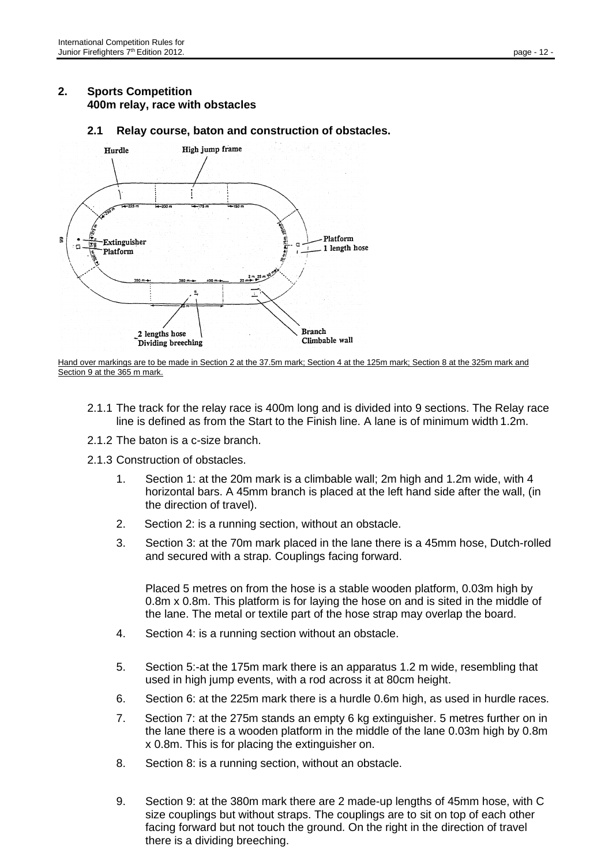## **2. Sports Competition 400m relay, race with obstacles**

**2.1 Relay course, baton and construction of obstacles.**



Hand over markings are to be made in Section 2 at the 37.5m mark; Section 4 at the 125m mark; Section 8 at the 325m mark and Section 9 at the 365 m mark.

- 2.1.1 The track for the relay race is 400m long and is divided into 9 sections. The Relay race line is defined as from the Start to the Finish line. A lane is of minimum width 1.2m.
- 2.1.2 The baton is a c-size branch.
- 2.1.3 Construction of obstacles.
	- 1. Section 1: at the 20m mark is a climbable wall; 2m high and 1.2m wide, with 4 horizontal bars. A 45mm branch is placed at the left hand side after the wall, (in the direction of travel).
	- 2. Section 2: is a running section, without an obstacle.
	- 3. Section 3: at the 70m mark placed in the lane there is a 45mm hose, Dutch-rolled and secured with a strap. Couplings facing forward.

Placed 5 metres on from the hose is a stable wooden platform, 0.03m high by 0.8m x 0.8m. This platform is for laying the hose on and is sited in the middle of the lane. The metal or textile part of the hose strap may overlap the board.

- 4. Section 4: is a running section without an obstacle.
- 5. Section 5:-at the 175m mark there is an apparatus 1.2 m wide, resembling that used in high jump events, with a rod across it at 80cm height.
- 6. Section 6: at the 225m mark there is a hurdle 0.6m high, as used in hurdle races.
- 7. Section 7: at the 275m stands an empty 6 kg extinguisher. 5 metres further on in the lane there is a wooden platform in the middle of the lane 0.03m high by 0.8m x 0.8m. This is for placing the extinguisher on.
- 8. Section 8: is a running section, without an obstacle.
- 9. Section 9: at the 380m mark there are 2 made-up lengths of 45mm hose, with C size couplings but without straps. The couplings are to sit on top of each other facing forward but not touch the ground. On the right in the direction of travel there is a dividing breeching.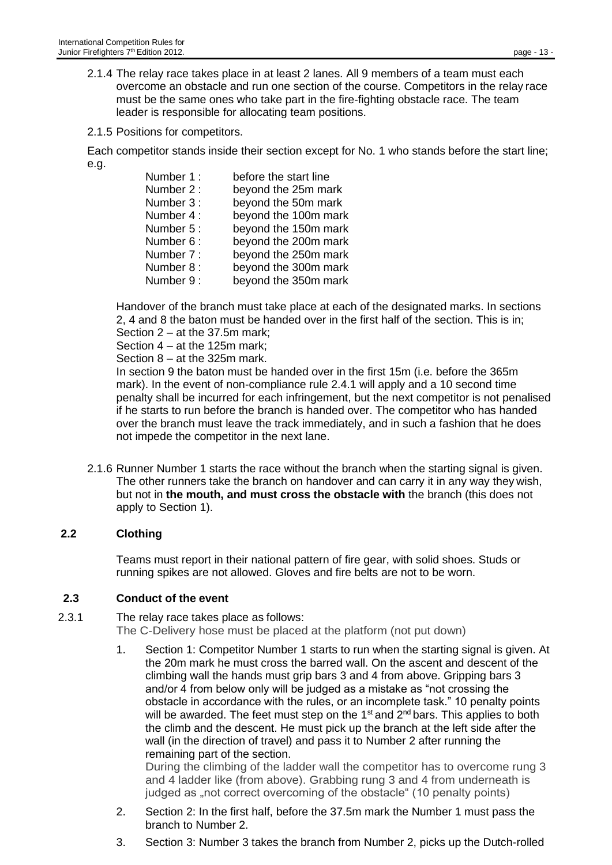- 2.1.4 The relay race takes place in at least 2 lanes. All 9 members of a team must each overcome an obstacle and run one section of the course. Competitors in the relay race must be the same ones who take part in the fire-fighting obstacle race. The team leader is responsible for allocating team positions.
- 2.1.5 Positions for competitors.

Each competitor stands inside their section except for No. 1 who stands before the start line; e.g.

| Number 1:  | before the start line |
|------------|-----------------------|
| Number 2:  | beyond the 25m mark   |
| Number 3 : | beyond the 50m mark   |
| Number 4:  | beyond the 100m mark  |
| Number 5 : | beyond the 150m mark  |
| Number 6:  | beyond the 200m mark  |
| Number 7:  | beyond the 250m mark  |
| Number 8 : | beyond the 300m mark  |
| Number 9:  | beyond the 350m mark  |
|            |                       |

Handover of the branch must take place at each of the designated marks. In sections 2, 4 and 8 the baton must be handed over in the first half of the section. This is in;

Section 2 – at the 37.5m mark;

Section 4 – at the 125m mark;

Section 8 – at the 325m mark.

In section 9 the baton must be handed over in the first 15m (i.e. before the 365m mark). In the event of non-compliance rule 2.4.1 will apply and a 10 second time penalty shall be incurred for each infringement, but the next competitor is not penalised if he starts to run before the branch is handed over. The competitor who has handed over the branch must leave the track immediately, and in such a fashion that he does not impede the competitor in the next lane.

2.1.6 Runner Number 1 starts the race without the branch when the starting signal is given. The other runners take the branch on handover and can carry it in any way they wish, but not in **the mouth, and must cross the obstacle with** the branch (this does not apply to Section 1).

#### **2.2 Clothing**

Teams must report in their national pattern of fire gear, with solid shoes. Studs or running spikes are not allowed. Gloves and fire belts are not to be worn.

#### **2.3 Conduct of the event**

2.3.1 The relay race takes place as follows: The C-Delivery hose must be placed at the platform (not put down)

> 1. Section 1: Competitor Number 1 starts to run when the starting signal is given. At the 20m mark he must cross the barred wall. On the ascent and descent of the climbing wall the hands must grip bars 3 and 4 from above. Gripping bars 3 and/or 4 from below only will be judged as a mistake as "not crossing the obstacle in accordance with the rules, or an incomplete task." 10 penalty points will be awarded. The feet must step on the 1<sup>st</sup> and 2<sup>nd</sup> bars. This applies to both the climb and the descent. He must pick up the branch at the left side after the wall (in the direction of travel) and pass it to Number 2 after running the remaining part of the section.

During the climbing of the ladder wall the competitor has to overcome rung 3 and 4 ladder like (from above). Grabbing rung 3 and 4 from underneath is judged as "not correct overcoming of the obstacle" (10 penalty points)

- 2. Section 2: In the first half, before the 37.5m mark the Number 1 must pass the branch to Number 2.
- 3. Section 3: Number 3 takes the branch from Number 2, picks up the Dutch-rolled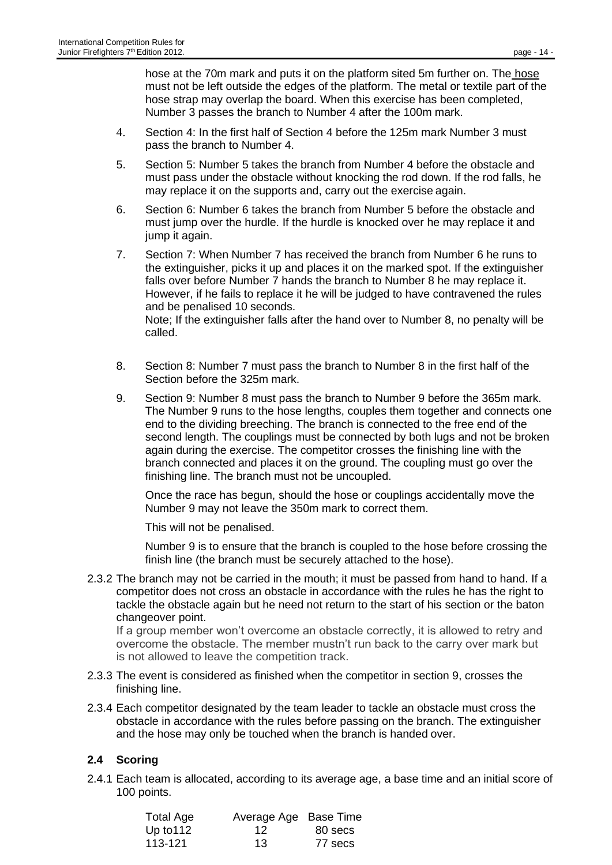hose at the 70m mark and puts it on the platform sited 5m further on. The hose must not be left outside the edges of the platform. The metal or textile part of the hose strap may overlap the board. When this exercise has been completed, Number 3 passes the branch to Number 4 after the 100m mark.

- 4. Section 4: In the first half of Section 4 before the 125m mark Number 3 must pass the branch to Number 4.
- 5. Section 5: Number 5 takes the branch from Number 4 before the obstacle and must pass under the obstacle without knocking the rod down. If the rod falls, he may replace it on the supports and, carry out the exercise again.
- 6. Section 6: Number 6 takes the branch from Number 5 before the obstacle and must jump over the hurdle. If the hurdle is knocked over he may replace it and jump it again.
- 7. Section 7: When Number 7 has received the branch from Number 6 he runs to the extinguisher, picks it up and places it on the marked spot. If the extinguisher falls over before Number 7 hands the branch to Number 8 he may replace it. However, if he fails to replace it he will be judged to have contravened the rules and be penalised 10 seconds. Note; If the extinguisher falls after the hand over to Number 8, no penalty will be called.
- 8. Section 8: Number 7 must pass the branch to Number 8 in the first half of the Section before the 325m mark.
- 9. Section 9: Number 8 must pass the branch to Number 9 before the 365m mark. The Number 9 runs to the hose lengths, couples them together and connects one end to the dividing breeching. The branch is connected to the free end of the second length. The couplings must be connected by both lugs and not be broken again during the exercise. The competitor crosses the finishing line with the branch connected and places it on the ground. The coupling must go over the finishing line. The branch must not be uncoupled.

Once the race has begun, should the hose or couplings accidentally move the Number 9 may not leave the 350m mark to correct them.

This will not be penalised.

Number 9 is to ensure that the branch is coupled to the hose before crossing the finish line (the branch must be securely attached to the hose).

2.3.2 The branch may not be carried in the mouth; it must be passed from hand to hand. If a competitor does not cross an obstacle in accordance with the rules he has the right to tackle the obstacle again but he need not return to the start of his section or the baton changeover point.

If a group member won't overcome an obstacle correctly, it is allowed to retry and overcome the obstacle. The member mustn't run back to the carry over mark but is not allowed to leave the competition track.

- 2.3.3 The event is considered as finished when the competitor in section 9, crosses the finishing line.
- 2.3.4 Each competitor designated by the team leader to tackle an obstacle must cross the obstacle in accordance with the rules before passing on the branch. The extinguisher and the hose may only be touched when the branch is handed over.

## **2.4 Scoring**

2.4.1 Each team is allocated, according to its average age, a base time and an initial score of 100 points.

| <b>Total Age</b> | Average Age Base Time |         |
|------------------|-----------------------|---------|
| Up to $112$      | 12                    | 80 secs |
| 113-121          | 13                    | 77 secs |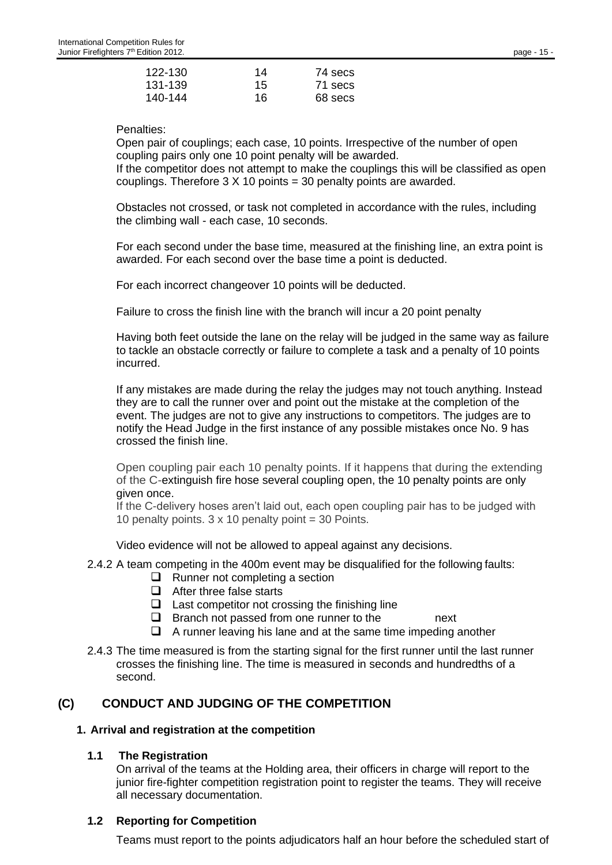Penalties:

Open pair of couplings; each case, 10 points. Irrespective of the number of open coupling pairs only one 10 point penalty will be awarded.

If the competitor does not attempt to make the couplings this will be classified as open couplings. Therefore  $3 \times 10$  points = 30 penalty points are awarded.

Obstacles not crossed, or task not completed in accordance with the rules, including the climbing wall - each case, 10 seconds.

For each second under the base time, measured at the finishing line, an extra point is awarded. For each second over the base time a point is deducted.

For each incorrect changeover 10 points will be deducted.

Failure to cross the finish line with the branch will incur a 20 point penalty

Having both feet outside the lane on the relay will be judged in the same way as failure to tackle an obstacle correctly or failure to complete a task and a penalty of 10 points incurred.

If any mistakes are made during the relay the judges may not touch anything. Instead they are to call the runner over and point out the mistake at the completion of the event. The judges are not to give any instructions to competitors. The judges are to notify the Head Judge in the first instance of any possible mistakes once No. 9 has crossed the finish line.

Open coupling pair each 10 penalty points. If it happens that during the extending of the C-extinguish fire hose several coupling open, the 10 penalty points are only given once.

If the C-delivery hoses aren't laid out, each open coupling pair has to be judged with 10 penalty points.  $3 \times 10$  penalty point = 30 Points.

Video evidence will not be allowed to appeal against any decisions.

2.4.2 A team competing in the 400m event may be disqualified for the following faults:

- ❑ Runner not completing a section
- ❑ After three false starts
- $\Box$  Last competitor not crossing the finishing line
- $\Box$  Branch not passed from one runner to the next
- ❑ A runner leaving his lane and at the same time impeding another
- 2.4.3 The time measured is from the starting signal for the first runner until the last runner crosses the finishing line. The time is measured in seconds and hundredths of a second.

## **(C) CONDUCT AND JUDGING OF THE COMPETITION**

#### **1. Arrival and registration at the competition**

#### **1.1 The Registration**

On arrival of the teams at the Holding area, their officers in charge will report to the junior fire-fighter competition registration point to register the teams. They will receive all necessary documentation.

#### **1.2 Reporting for Competition**

Teams must report to the points adjudicators half an hour before the scheduled start of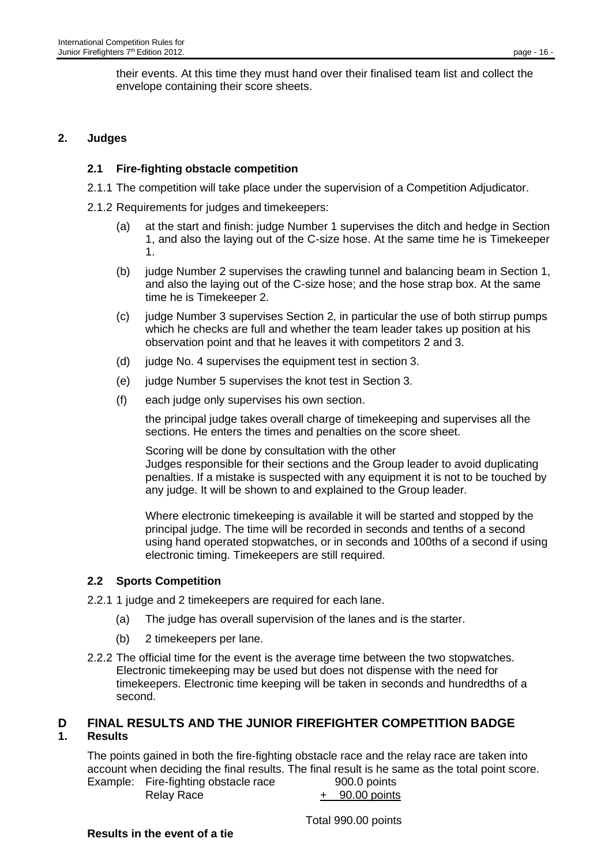their events. At this time they must hand over their finalised team list and collect the envelope containing their score sheets.

### **2. Judges**

### **2.1 Fire-fighting obstacle competition**

- 2.1.1 The competition will take place under the supervision of a Competition Adjudicator.
- 2.1.2 Requirements for judges and timekeepers:
	- (a) at the start and finish: judge Number 1 supervises the ditch and hedge in Section 1, and also the laying out of the C-size hose. At the same time he is Timekeeper 1.
	- (b) judge Number 2 supervises the crawling tunnel and balancing beam in Section 1, and also the laying out of the C-size hose; and the hose strap box. At the same time he is Timekeeper 2.
	- (c) judge Number 3 supervises Section 2, in particular the use of both stirrup pumps which he checks are full and whether the team leader takes up position at his observation point and that he leaves it with competitors 2 and 3.
	- (d) judge No. 4 supervises the equipment test in section 3.
	- (e) judge Number 5 supervises the knot test in Section 3.
	- (f) each judge only supervises his own section.

the principal judge takes overall charge of timekeeping and supervises all the sections. He enters the times and penalties on the score sheet.

Scoring will be done by consultation with the other Judges responsible for their sections and the Group leader to avoid duplicating penalties. If a mistake is suspected with any equipment it is not to be touched by any judge. It will be shown to and explained to the Group leader.

Where electronic timekeeping is available it will be started and stopped by the principal judge. The time will be recorded in seconds and tenths of a second using hand operated stopwatches, or in seconds and 100ths of a second if using electronic timing. Timekeepers are still required.

## **2.2 Sports Competition**

- 2.2.1 1 judge and 2 timekeepers are required for each lane.
	- (a) The judge has overall supervision of the lanes and is the starter.
	- (b) 2 timekeepers per lane.
- 2.2.2 The official time for the event is the average time between the two stopwatches. Electronic timekeeping may be used but does not dispense with the need for timekeepers. Electronic time keeping will be taken in seconds and hundredths of a second.

## **D FINAL RESULTS AND THE JUNIOR FIREFIGHTER COMPETITION BADGE**

#### **1. Results**

The points gained in both the fire-fighting obstacle race and the relay race are taken into account when deciding the final results. The final result is he same as the total point score. Example: Fire-fighting obstacle race 900.0 points

Relay Race  $+ 90.00$  points

Total 990.00 points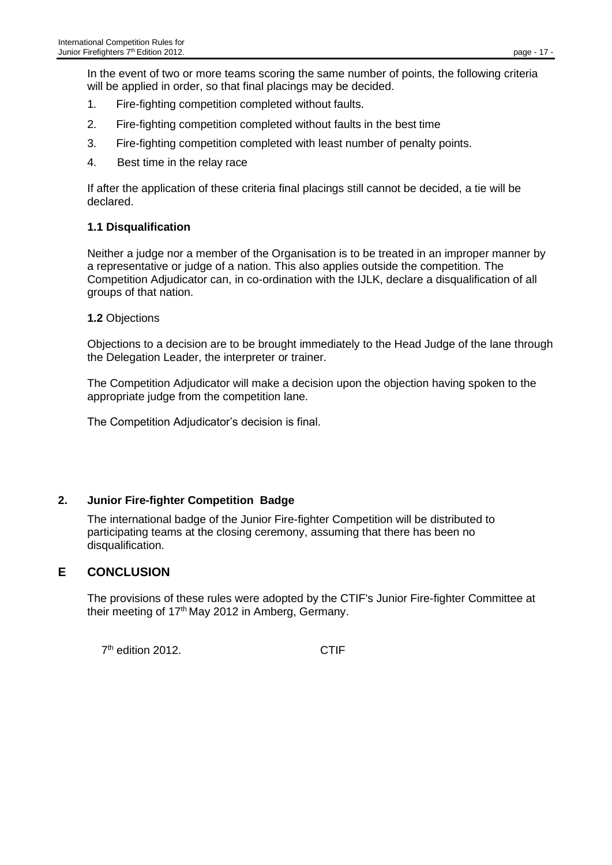In the event of two or more teams scoring the same number of points, the following criteria will be applied in order, so that final placings may be decided.

- 1. Fire-fighting competition completed without faults.
- 2. Fire-fighting competition completed without faults in the best time
- 3. Fire-fighting competition completed with least number of penalty points.
- 4. Best time in the relay race

If after the application of these criteria final placings still cannot be decided, a tie will be declared.

## **1.1 Disqualification**

Neither a judge nor a member of the Organisation is to be treated in an improper manner by a representative or judge of a nation. This also applies outside the competition. The Competition Adjudicator can, in co-ordination with the IJLK, declare a disqualification of all groups of that nation.

**1.2** Objections

Objections to a decision are to be brought immediately to the Head Judge of the lane through the Delegation Leader, the interpreter or trainer.

The Competition Adjudicator will make a decision upon the objection having spoken to the appropriate judge from the competition lane.

The Competition Adjudicator's decision is final.

## **2. Junior Fire-fighter Competition Badge**

The international badge of the Junior Fire-fighter Competition will be distributed to participating teams at the closing ceremony, assuming that there has been no disqualification.

## **E CONCLUSION**

The provisions of these rules were adopted by the CTIF's Junior Fire-fighter Committee at their meeting of  $17<sup>th</sup>$  May 2012 in Amberg, Germany.

7 th edition 2012. CTIF